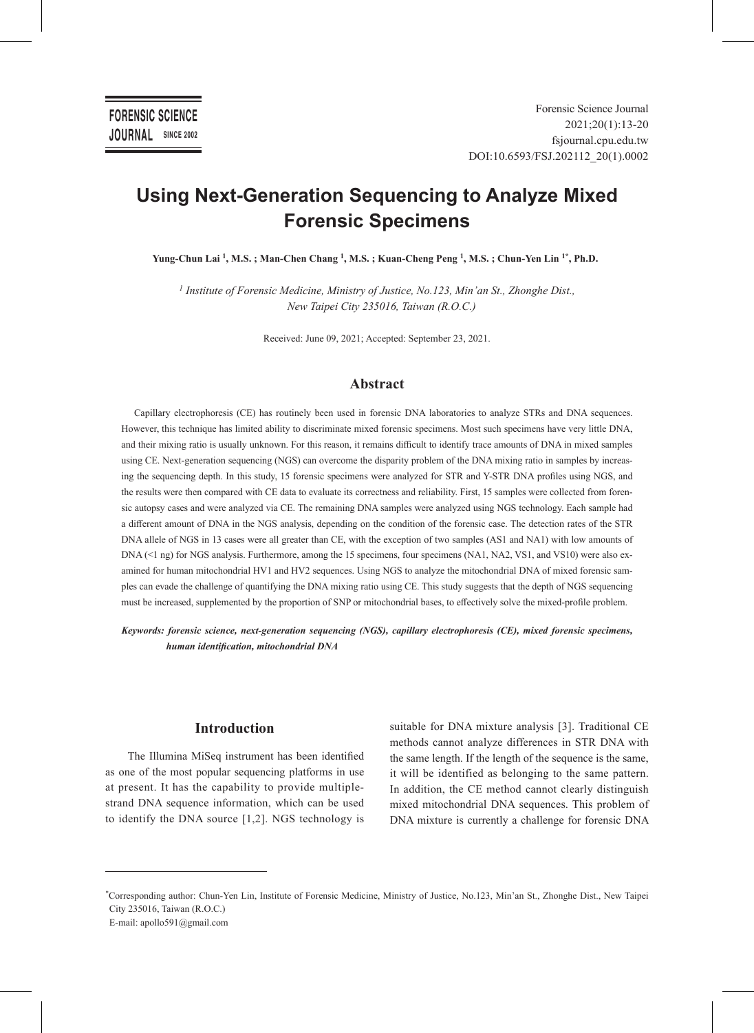# **Using Next-Generation Sequencing to Analyze Mixed Forensic Specimens**

**Yung-Chun Lai 1, M.S. ; Man-Chen Chang 1, M.S. ; Kuan-Cheng Peng 1, M.S. ; Chun-Yen Lin 1\*, Ph.D.\***

*1 Institute of Forensic Medicine, Ministry of Justice, No.123, Min'an St., Zhonghe Dist., New Taipei City 235016, Taiwan (R.O.C.)*

Received: June 09, 2021; Accepted: September 23, 2021.

## **Abstract**

Capillary electrophoresis (CE) has routinely been used in forensic DNA laboratories to analyze STRs and DNA sequences. However, this technique has limited ability to discriminate mixed forensic specimens. Most such specimens have very little DNA, and their mixing ratio is usually unknown. For this reason, it remains difficult to identify trace amounts of DNA in mixed samples using CE. Next-generation sequencing (NGS) can overcome the disparity problem of the DNA mixing ratio in samples by increasing the sequencing depth. In this study, 15 forensic specimens were analyzed for STR and Y-STR DNA profiles using NGS, and the results were then compared with CE data to evaluate its correctness and reliability. First, 15 samples were collected from forensic autopsy cases and were analyzed via CE. The remaining DNA samples were analyzed using NGS technology. Each sample had a different amount of DNA in the NGS analysis, depending on the condition of the forensic case. The detection rates of the STR DNA allele of NGS in 13 cases were all greater than CE, with the exception of two samples (AS1 and NA1) with low amounts of DNA (<1 ng) for NGS analysis. Furthermore, among the 15 specimens, four specimens (NA1, NA2, VS1, and VS10) were also examined for human mitochondrial HV1 and HV2 sequences. Using NGS to analyze the mitochondrial DNA of mixed forensic samples can evade the challenge of quantifying the DNA mixing ratio using CE. This study suggests that the depth of NGS sequencing must be increased, supplemented by the proportion of SNP or mitochondrial bases, to effectively solve the mixed-profile problem.

*Keywords: forensic science, next-generation sequencing (NGS), capillary electrophoresis (CE), mixed forensic specimens, human identification, mitochondrial DNA*

# **Introduction**

The Illumina MiSeq instrument has been identified as one of the most popular sequencing platforms in use at present. It has the capability to provide multiplestrand DNA sequence information, which can be used to identify the DNA source [1,2]. NGS technology is suitable for DNA mixture analysis [3]. Traditional CE methods cannot analyze differences in STR DNA with the same length. If the length of the sequence is the same, it will be identified as belonging to the same pattern. In addition, the CE method cannot clearly distinguish mixed mitochondrial DNA sequences. This problem of DNA mixture is currently a challenge for forensic DNA

<sup>\*</sup>Corresponding author: Chun-Yen Lin, Institute of Forensic Medicine, Ministry of Justice, No.123, Min'an St., Zhonghe Dist., New Taipei City 235016, Taiwan (R.O.C.) E-mail: apollo591@gmail.com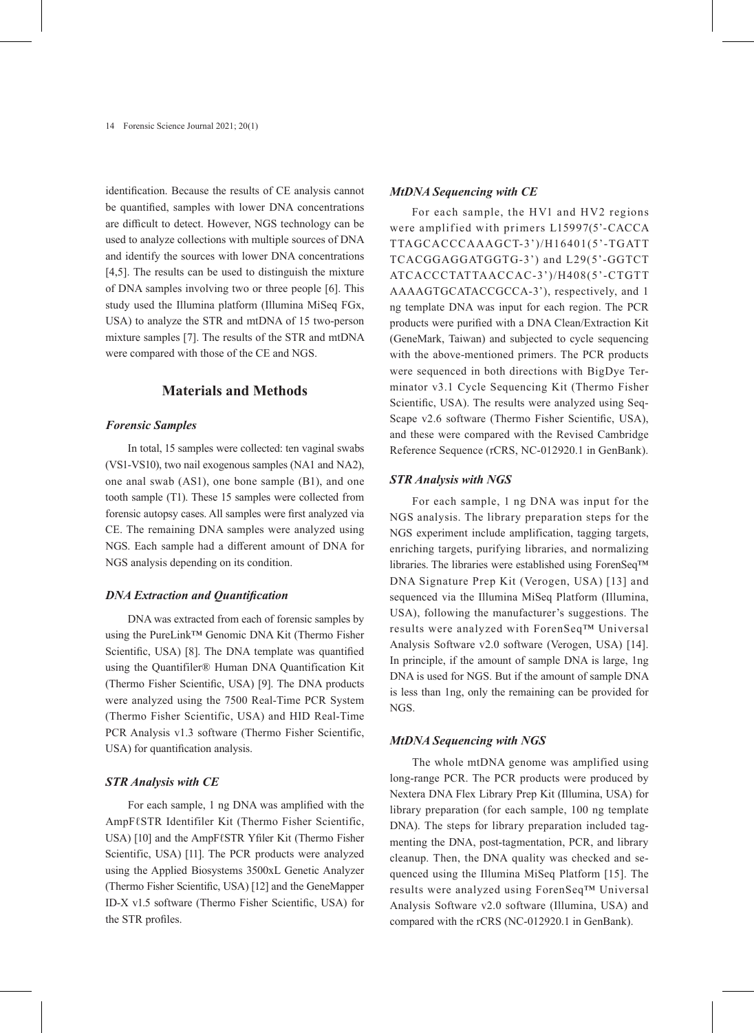identification. Because the results of CE analysis cannot be quantified, samples with lower DNA concentrations are difficult to detect. However, NGS technology can be used to analyze collections with multiple sources of DNA and identify the sources with lower DNA concentrations [4,5]. The results can be used to distinguish the mixture of DNA samples involving two or three people [6]. This study used the Illumina platform (Illumina MiSeq FGx, USA) to analyze the STR and mtDNA of 15 two-person mixture samples [7]. The results of the STR and mtDNA were compared with those of the CE and NGS.

## **Materials and Methods**

## *Forensic Samples*

In total, 15 samples were collected: ten vaginal swabs (VS1-VS10), two nail exogenous samples (NA1 and NA2), one anal swab (AS1), one bone sample (B1), and one tooth sample (T1). These 15 samples were collected from forensic autopsy cases. All samples were first analyzed via CE. The remaining DNA samples were analyzed using NGS. Each sample had a different amount of DNA for NGS analysis depending on its condition.

#### *DNA Extraction and Quantification*

DNA was extracted from each of forensic samples by using the PureLink™ Genomic DNA Kit (Thermo Fisher Scientific, USA) [8]. The DNA template was quantified using the Quantifiler® Human DNA Quantification Kit (Thermo Fisher Scientific, USA) [9]. The DNA products were analyzed using the 7500 Real-Time PCR System (Thermo Fisher Scientific, USA) and HID Real-Time PCR Analysis v1.3 software (Thermo Fisher Scientific, USA) for quantification analysis.

# *STR Analysis with CE*

For each sample, 1 ng DNA was amplified with the AmpFℓSTR Identifiler Kit (Thermo Fisher Scientific, USA) [10] and the AmpFℓSTR Yfiler Kit (Thermo Fisher Scientific, USA) [11]. The PCR products were analyzed using the Applied Biosystems 3500xL Genetic Analyzer (Thermo Fisher Scientific, USA) [12] and the GeneMapper ID-X v1.5 software (Thermo Fisher Scientific, USA) for the STR profiles.

#### *MtDNA Sequencing with CE*

For each sample, the HV1 and HV2 regions were amplified with primers L15997(5'-CACCA TTAGCACCCAAAGCT-3')/H16401(5'-TGATT TCACGGAGGATGGTG-3') and L29(5'-GGTCT ATCACCCTATTAACCAC-3')/H408(5'-CTGTT AAAAGTGCATACCGCCA-3'), respectively, and 1 ng template DNA was input for each region. The PCR products were purified with a DNA Clean/Extraction Kit (GeneMark, Taiwan) and subjected to cycle sequencing with the above-mentioned primers. The PCR products were sequenced in both directions with BigDye Terminator v3.1 Cycle Sequencing Kit (Thermo Fisher Scientific, USA). The results were analyzed using Seq-Scape v2.6 software (Thermo Fisher Scientific, USA), and these were compared with the Revised Cambridge Reference Sequence (rCRS, NC-012920.1 in GenBank).

#### *STR Analysis with NGS*

For each sample, 1 ng DNA was input for the NGS analysis. The library preparation steps for the NGS experiment include amplification, tagging targets, enriching targets, purifying libraries, and normalizing libraries. The libraries were established using ForenSeq™ DNA Signature Prep Kit (Verogen, USA) [13] and sequenced via the Illumina MiSeq Platform (Illumina, USA), following the manufacturer's suggestions. The results were analyzed with ForenSeq™ Universal Analysis Software v2.0 software (Verogen, USA) [14]. In principle, if the amount of sample DNA is large, 1ng DNA is used for NGS. But if the amount of sample DNA is less than 1ng, only the remaining can be provided for NGS.

## *MtDNA Sequencing with NGS*

The whole mtDNA genome was amplified using long-range PCR. The PCR products were produced by Nextera DNA Flex Library Prep Kit (Illumina, USA) for library preparation (for each sample, 100 ng template DNA). The steps for library preparation included tagmenting the DNA, post-tagmentation, PCR, and library cleanup. Then, the DNA quality was checked and sequenced using the Illumina MiSeq Platform [15]. The results were analyzed using ForenSeq™ Universal Analysis Software v2.0 software (Illumina, USA) and compared with the rCRS (NC-012920.1 in GenBank).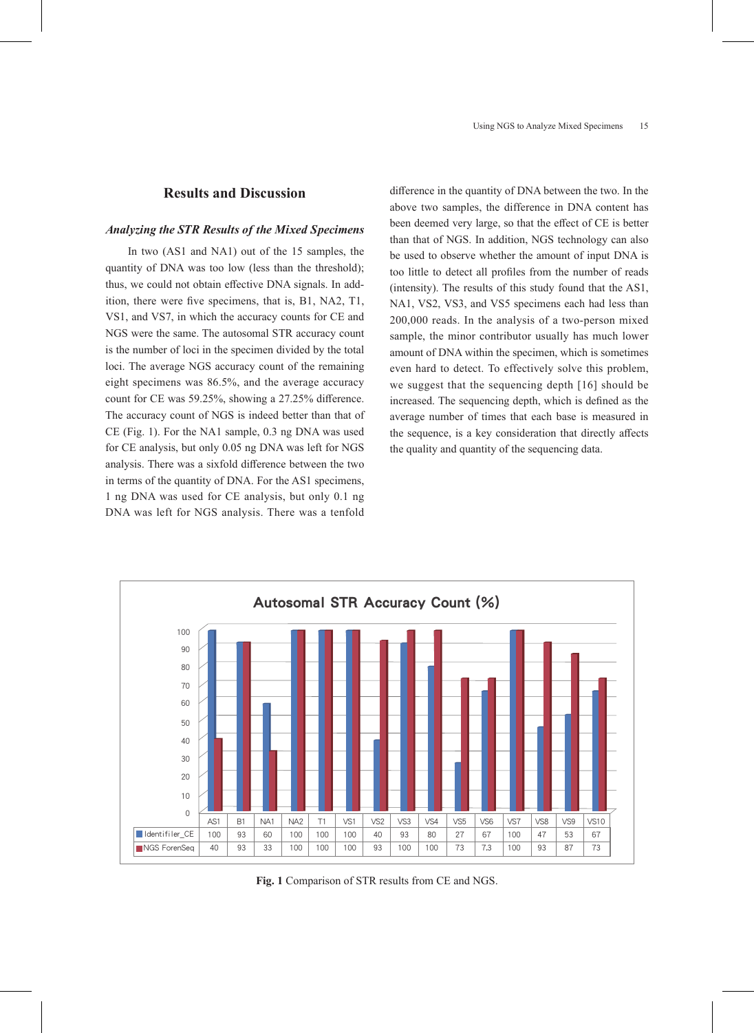# **Results and Discussion**

#### *Analyzing the STR Results of the Mixed Specimens*

In two (AS1 and NA1) out of the 15 samples, the quantity of DNA was too low (less than the threshold); thus, we could not obtain effective DNA signals. In addition, there were five specimens, that is, B1, NA2, T1, VS1, and VS7, in which the accuracy counts for CE and NGS were the same. The autosomal STR accuracy count is the number of loci in the specimen divided by the total loci. The average NGS accuracy count of the remaining eight specimens was 86.5%, and the average accuracy count for CE was 59.25%, showing a 27.25% difference. The accuracy count of NGS is indeed better than that of CE (Fig. 1). For the NA1 sample, 0.3 ng DNA was used for CE analysis, but only 0.05 ng DNA was left for NGS analysis. There was a sixfold difference between the two in terms of the quantity of DNA. For the AS1 specimens, 1 ng DNA was used for CE analysis, but only 0.1 ng DNA was left for NGS analysis. There was a tenfold

difference in the quantity of DNA between the two. In the above two samples, the difference in DNA content has been deemed very large, so that the effect of CE is better than that of NGS. In addition, NGS technology can also be used to observe whether the amount of input DNA is too little to detect all profiles from the number of reads (intensity). The results of this study found that the AS1, NA1, VS2, VS3, and VS5 specimens each had less than 200,000 reads. In the analysis of a two-person mixed sample, the minor contributor usually has much lower amount of DNA within the specimen, which is sometimes even hard to detect. To effectively solve this problem, we suggest that the sequencing depth [16] should be increased. The sequencing depth, which is defined as the average number of times that each base is measured in the sequence, is a key consideration that directly affects the quality and quantity of the sequencing data.



**Fig. 1** Comparison of STR results from CE and NGS.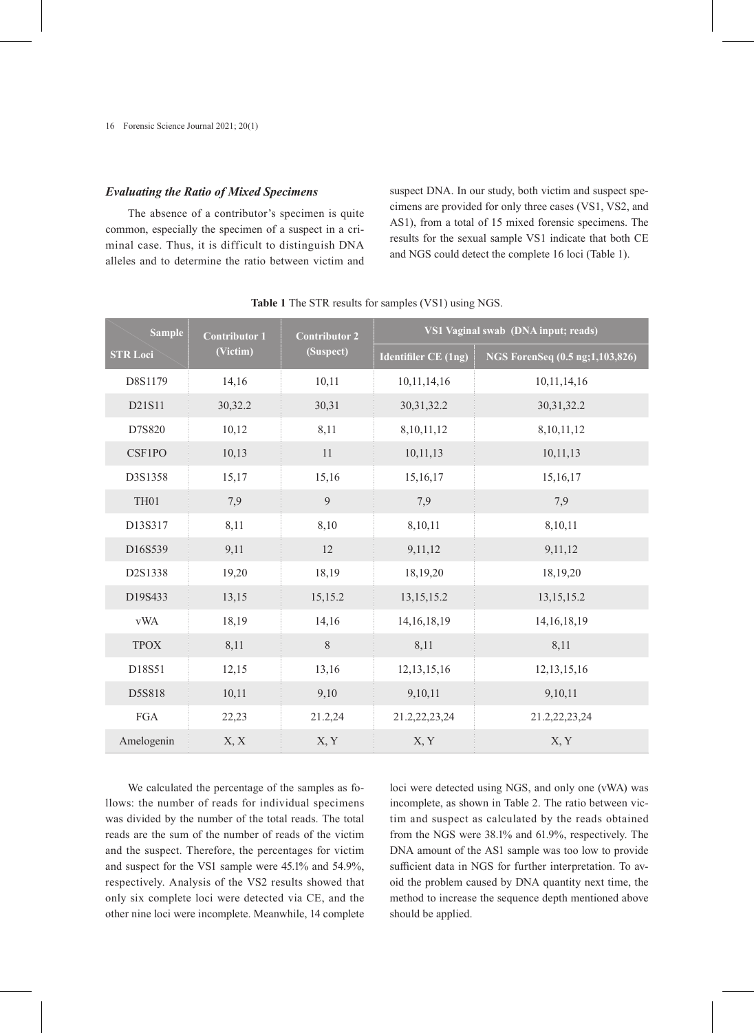#### *Evaluating the Ratio of Mixed Specimens*

The absence of a contributor's specimen is quite common, especially the specimen of a suspect in a criminal case. Thus, it is difficult to distinguish DNA alleles and to determine the ratio between victim and suspect DNA. In our study, both victim and suspect specimens are provided for only three cases (VS1, VS2, and AS1), from a total of 15 mixed forensic specimens. The results for the sexual sample VS1 indicate that both CE and NGS could detect the complete 16 loci (Table 1).

| <b>Sample</b>               | <b>Contributor 1</b> | <b>Contributor 2</b> | VS1 Vaginal swab (DNA input; reads) |                                 |  |  |
|-----------------------------|----------------------|----------------------|-------------------------------------|---------------------------------|--|--|
| (Victim)<br><b>STR Loci</b> |                      | (Suspect)            | <b>Identifiler CE (1ng)</b>         | NGS ForenSeq (0.5 ng;1,103,826) |  |  |
| D8S1179                     | 14,16                | 10,11                | 10,11,14,16                         | 10,11,14,16                     |  |  |
| D21S11                      | 30,32.2              | 30,31                | 30, 31, 32. 2                       | 30, 31, 32. 2                   |  |  |
| D7S820                      | 10,12                | 8,11                 | 8,10,11,12                          | 8,10,11,12                      |  |  |
| <b>CSF1PO</b>               | 10,13                | 11                   | 10,11,13                            | 10, 11, 13                      |  |  |
| D3S1358                     | 15,17                | 15,16                | 15,16,17                            | 15,16,17                        |  |  |
| TH01                        | 7,9                  | 9                    | 7,9                                 | 7,9                             |  |  |
| D13S317                     | 8,11                 | 8,10                 | 8,10,11                             | 8,10,11                         |  |  |
| D16S539                     | 9,11                 | 12                   | 9,11,12                             | 9,11,12                         |  |  |
| D2S1338                     | 19,20                | 18,19                | 18,19,20                            | 18,19,20                        |  |  |
| D19S433                     | 13,15                | 15,15.2              | 13, 15, 15. 2                       | 13, 15, 15. 2                   |  |  |
| <b>vWA</b>                  | 18,19                | 14,16                | 14, 16, 18, 19                      | 14, 16, 18, 19                  |  |  |
| <b>TPOX</b>                 | 8,11                 | 8                    | 8,11                                | 8,11                            |  |  |
| D18S51                      | 12,15                | 13,16                | 12, 13, 15, 16                      | 12, 13, 15, 16                  |  |  |
| D5S818                      | 10,11                | 9,10                 | 9,10,11                             | 9,10,11                         |  |  |
| ${\rm FGA}$                 | 22,23                | 21.2,24              | 21.2,22,23,24                       | 21.2,22,23,24                   |  |  |
| Amelogenin                  | X, X                 | X, Y                 | X, Y                                | X, Y                            |  |  |

**Table 1** The STR results for samples (VS1) using NGS.

We calculated the percentage of the samples as follows: the number of reads for individual specimens was divided by the number of the total reads. The total reads are the sum of the number of reads of the victim and the suspect. Therefore, the percentages for victim and suspect for the VS1 sample were 45.1% and 54.9%, respectively. Analysis of the VS2 results showed that only six complete loci were detected via CE, and the other nine loci were incomplete. Meanwhile, 14 complete

loci were detected using NGS, and only one (vWA) was incomplete, as shown in Table 2. The ratio between victim and suspect as calculated by the reads obtained from the NGS were 38.1% and 61.9%, respectively. The DNA amount of the AS1 sample was too low to provide sufficient data in NGS for further interpretation. To avoid the problem caused by DNA quantity next time, the method to increase the sequence depth mentioned above should be applied.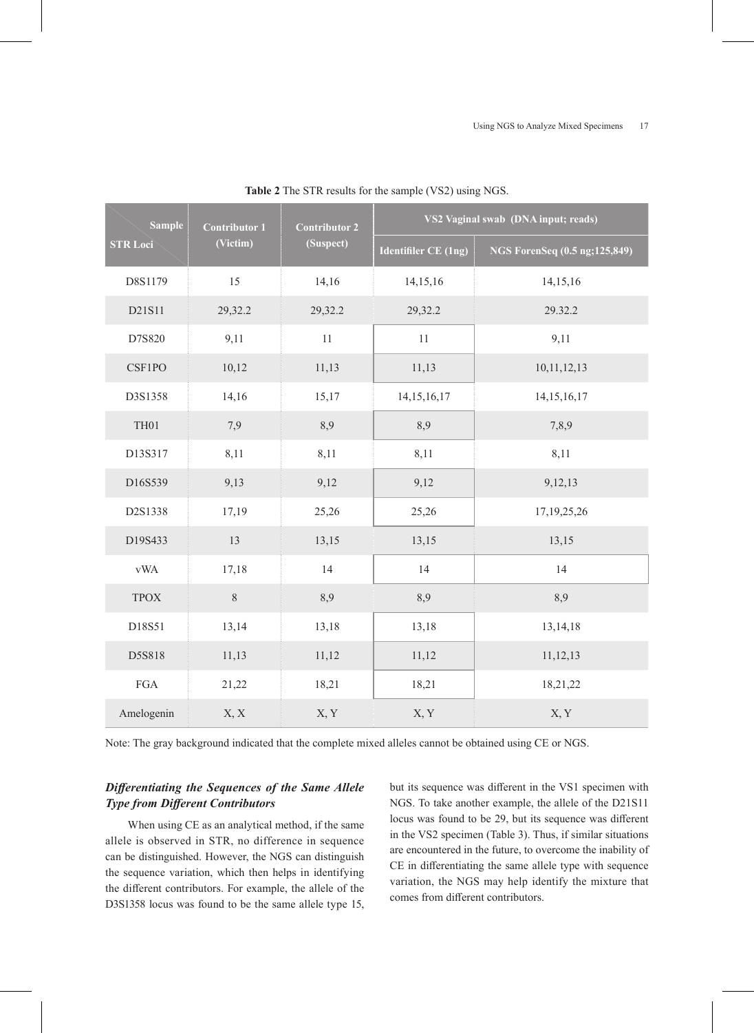| <b>Sample</b>               | <b>Contributor 1</b> | <b>Contributor 2</b> | VS2 Vaginal swab (DNA input; reads) |                                |  |  |  |
|-----------------------------|----------------------|----------------------|-------------------------------------|--------------------------------|--|--|--|
| (Victim)<br><b>STR Loci</b> |                      | (Suspect)            | <b>Identifiler CE (1ng)</b>         | NGS ForenSeq (0.5 ng; 125,849) |  |  |  |
| D8S1179                     | 15                   | 14,16                | 14,15,16                            | 14,15,16                       |  |  |  |
| D21S11                      | 29,32.2              | 29,32.2              | 29,32.2                             | 29.32.2                        |  |  |  |
| D7S820                      | 9,11                 | $11\,$               | $11\,$                              | 9,11                           |  |  |  |
| CSF1PO                      | 10,12                | 11,13                | 11,13                               | 10,11,12,13                    |  |  |  |
| D3S1358                     | 14,16                | 15,17                | 14, 15, 16, 17                      | 14, 15, 16, 17                 |  |  |  |
| TH <sub>01</sub>            | 7,9                  | 8,9                  | 8,9                                 | 7,8,9                          |  |  |  |
| D13S317                     | 8,11                 | 8,11                 | 8,11                                | 8,11                           |  |  |  |
| D16S539                     | 9,13                 | 9,12                 | 9,12                                | 9,12,13                        |  |  |  |
| D2S1338                     | 17,19                | 25,26                | 25,26                               | 17, 19, 25, 26                 |  |  |  |
| D19S433                     | 13                   | 13,15                | 13,15                               | 13,15                          |  |  |  |
| $\ensuremath{\text{vWA}}$   | 17,18                | 14                   | 14                                  | 14                             |  |  |  |
| <b>TPOX</b>                 | $8\,$                | 8,9                  | 8,9                                 | 8,9                            |  |  |  |
| D18S51                      | 13,14                | 13,18                | 13,18                               | 13, 14, 18                     |  |  |  |
| D5S818                      | 11,13                | 11,12                | 11,12                               | 11,12,13                       |  |  |  |
| $_{\rm FGA}$                | 21,22                | 18,21                | 18,21                               | 18,21,22                       |  |  |  |
| Amelogenin                  | X, X                 | X, Y                 | X, Y                                | X, Y                           |  |  |  |

**Table 2** The STR results for the sample (VS2) using NGS.

Note: The gray background indicated that the complete mixed alleles cannot be obtained using CE or NGS.

# *Differentiating the Sequences of the Same Allele Type from Different Contributors*

When using CE as an analytical method, if the same allele is observed in STR, no difference in sequence can be distinguished. However, the NGS can distinguish the sequence variation, which then helps in identifying the different contributors. For example, the allele of the D3S1358 locus was found to be the same allele type 15, but its sequence was different in the VS1 specimen with NGS. To take another example, the allele of the D21S11 locus was found to be 29, but its sequence was different in the VS2 specimen (Table 3). Thus, if similar situations are encountered in the future, to overcome the inability of CE in differentiating the same allele type with sequence variation, the NGS may help identify the mixture that comes from different contributors.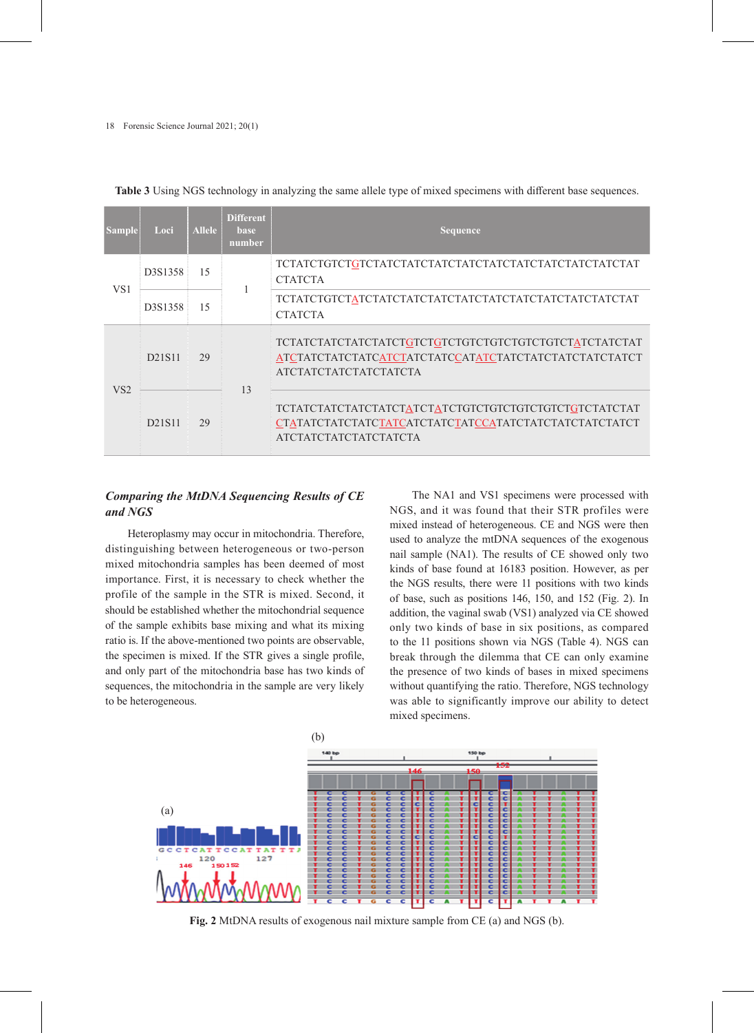| <b>Sample</b>   | Loci                             | <b>Allele</b> | <b>Different</b><br><b>base</b><br>number | <b>Sequence</b>                                                                       |
|-----------------|----------------------------------|---------------|-------------------------------------------|---------------------------------------------------------------------------------------|
| VS <sub>1</sub> | D3S1358                          | 15            |                                           | <b>CTATCTA</b>                                                                        |
|                 | D <sub>3</sub> S <sub>1358</sub> | 15            |                                           | <b>CTATCTA</b>                                                                        |
| VS <sub>2</sub> | D <sub>2</sub> 1S <sub>11</sub>  | 29            | 13                                        | АТСТАТСТАТСТАТСТАТСТА                                                                 |
|                 | D21S11                           | 29            |                                           | CTATATCTATCTATCTATCATCTATCTATCCATATCTATCTATCTATCTATCT<br><b>ATCTATCTATCTATCTATCTA</b> |

**Table 3** Using NGS technology in analyzing the same allele type of mixed specimens with different base sequences.

# *Comparing the MtDNA Sequencing Results of CE and NGS*

Heteroplasmy may occur in mitochondria. Therefore, distinguishing between heterogeneous or two-person mixed mitochondria samples has been deemed of most importance. First, it is necessary to check whether the profile of the sample in the STR is mixed. Second, it should be established whether the mitochondrial sequence of the sample exhibits base mixing and what its mixing ratio is. If the above-mentioned two points are observable, the specimen is mixed. If the STR gives a single profile, and only part of the mitochondria base has two kinds of sequences, the mitochondria in the sample are very likely to be heterogeneous.

The NA1 and VS1 specimens were processed with NGS, and it was found that their STR profiles were mixed instead of heterogeneous. CE and NGS were then used to analyze the mtDNA sequences of the exogenous nail sample (NA1). The results of CE showed only two kinds of base found at 16183 position. However, as per the NGS results, there were 11 positions with two kinds of base, such as positions 146, 150, and 152 (Fig. 2). In addition, the vaginal swab (VS1) analyzed via CE showed only two kinds of base in six positions, as compared to the 11 positions shown via NGS (Table 4). NGS can break through the dilemma that CE can only examine the presence of two kinds of bases in mixed specimens without quantifying the ratio. Therefore, NGS technology was able to significantly improve our ability to detect mixed specimens.



**Fig. 2** MtDNA results of exogenous nail mixture sample from CE (a) and NGS (b).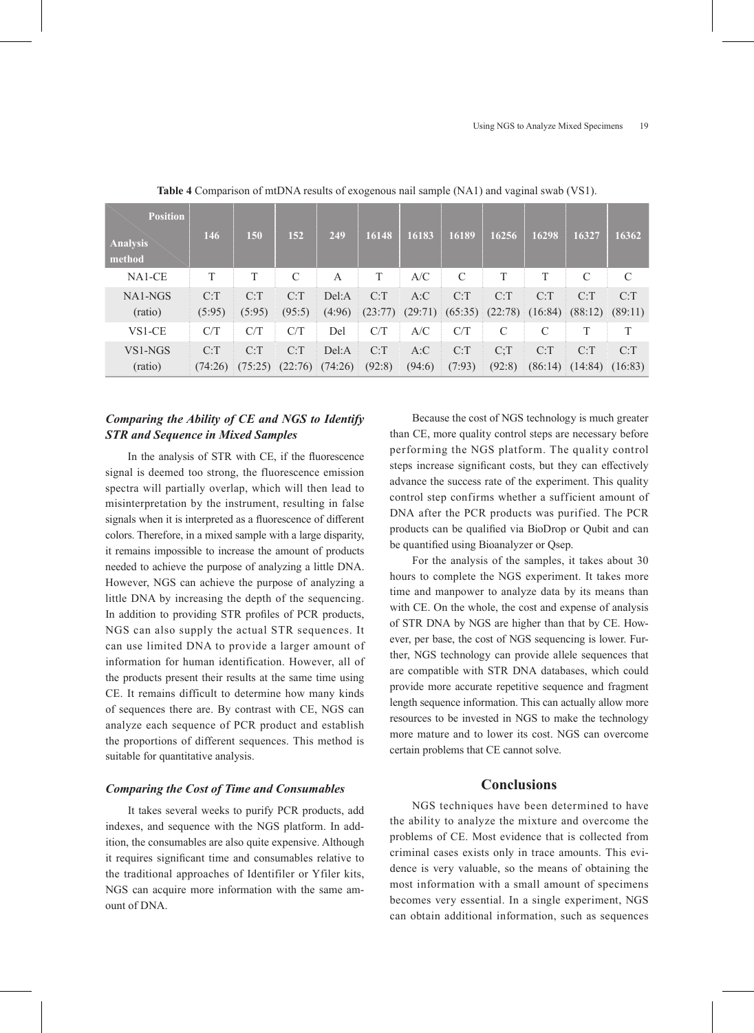| <b>Position</b><br><b>Analysis</b><br>method | 146     | 150     | 152     | 249     | 16148   | 16183  | 16189                                                       | 16256          | 16298         | 16327             | 16362         |
|----------------------------------------------|---------|---------|---------|---------|---------|--------|-------------------------------------------------------------|----------------|---------------|-------------------|---------------|
| NA1-CE                                       | T       | Τ       | C       | A       | T       | A/C    | $\mathcal{C}$                                               | T              | T             | $\mathcal{C}$     | $\mathcal{C}$ |
| NA1-NGS                                      | C: T    | C: T    | C: T    | Del:A   | C: T    | A:C    | C: T                                                        | C: T           | C: T          | C: T              | C: T          |
| (ratio)                                      | (5:95)  | (5:95)  | (95:5)  | (4:96)  | (23:77) |        | $(29:71)$ $(65:35)$ $(22:78)$ $(16:84)$ $(88:12)$ $(89:11)$ |                |               |                   |               |
| VS1-CE                                       | C/T     | C/T     | C/T     | Del     | C/T     | A/C    | C/T                                                         | C              | $\mathcal{C}$ | T                 | T             |
| VS1-NGS                                      | C: T    | C: T    | C: T    | Del:A   | C: T    | A:C    | C: T                                                        | C <sub>i</sub> | C: T          | C: T              | C: T          |
| (ratio)                                      | (74:26) | (75:25) | (22:76) | (74:26) | (92:8)  | (94:6) | (7:93)                                                      | (92:8)         |               | $(86:14)$ (14:84) | (16:83)       |

**Table 4** Comparison of mtDNA results of exogenous nail sample (NA1) and vaginal swab (VS1).

# *Comparing the Ability of CE and NGS to Identify STR and Sequence in Mixed Samples*

In the analysis of STR with CE, if the fluorescence signal is deemed too strong, the fluorescence emission spectra will partially overlap, which will then lead to misinterpretation by the instrument, resulting in false signals when it is interpreted as a fluorescence of different colors. Therefore, in a mixed sample with a large disparity, it remains impossible to increase the amount of products needed to achieve the purpose of analyzing a little DNA. However, NGS can achieve the purpose of analyzing a little DNA by increasing the depth of the sequencing. In addition to providing STR profiles of PCR products, NGS can also supply the actual STR sequences. It can use limited DNA to provide a larger amount of information for human identification. However, all of the products present their results at the same time using CE. It remains difficult to determine how many kinds of sequences there are. By contrast with CE, NGS can analyze each sequence of PCR product and establish the proportions of different sequences. This method is suitable for quantitative analysis.

## *Comparing the Cost of Time and Consumables*

It takes several weeks to purify PCR products, add indexes, and sequence with the NGS platform. In addition, the consumables are also quite expensive. Although it requires significant time and consumables relative to the traditional approaches of Identifiler or Yfiler kits, NGS can acquire more information with the same amount of DNA.

Because the cost of NGS technology is much greater than CE, more quality control steps are necessary before performing the NGS platform. The quality control steps increase significant costs, but they can effectively advance the success rate of the experiment. This quality control step confirms whether a sufficient amount of DNA after the PCR products was purified. The PCR products can be qualified via BioDrop or Qubit and can be quantified using Bioanalyzer or Qsep.

For the analysis of the samples, it takes about 30 hours to complete the NGS experiment. It takes more time and manpower to analyze data by its means than with CE. On the whole, the cost and expense of analysis of STR DNA by NGS are higher than that by CE. However, per base, the cost of NGS sequencing is lower. Further, NGS technology can provide allele sequences that are compatible with STR DNA databases, which could provide more accurate repetitive sequence and fragment length sequence information. This can actually allow more resources to be invested in NGS to make the technology more mature and to lower its cost. NGS can overcome certain problems that CE cannot solve.

## **Conclusions**

NGS techniques have been determined to have the ability to analyze the mixture and overcome the problems of CE. Most evidence that is collected from criminal cases exists only in trace amounts. This evidence is very valuable, so the means of obtaining the most information with a small amount of specimens becomes very essential. In a single experiment, NGS can obtain additional information, such as sequences